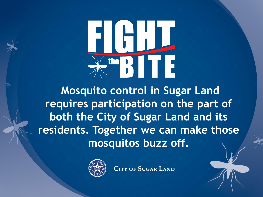# RIHH  $\frac{\text{the}}{\text{b}}$

**Mosquito control in Sugar Land requires participation on the part of both the City of Sugar Land and its residents. Together we can make those mosquitos buzz off.**

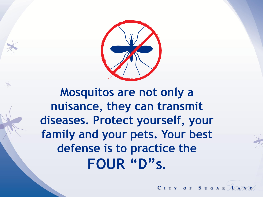

**Mosquitos are not only a nuisance, they can transmit diseases. Protect yourself, your family and your pets. Your best defense is to practice the FOUR "D"s.**

CITY OF SUGAR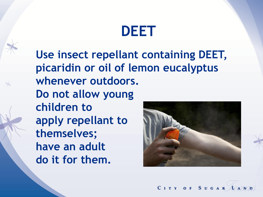#### **DEET**

**Use insect repellant containing DEET, picaridin or oil of lemon eucalyptus whenever outdoors. Do not allow young children to apply repellant to themselves; have an adult do it for them.**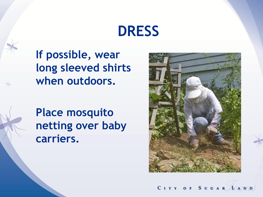#### **DRESS**

**If possible, wear long sleeved shirts when outdoors.**

**Place mosquito netting over baby carriers.**

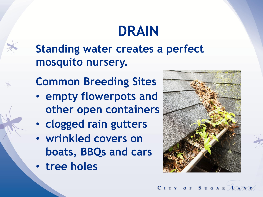# **DRAIN**



**Standing water creates a perfect mosquito nursery.**

- **Common Breeding Sites**
- **empty flowerpots and other open containers**
- **clogged rain gutters**
- **wrinkled covers on boats, BBQs and cars**
- **tree holes**

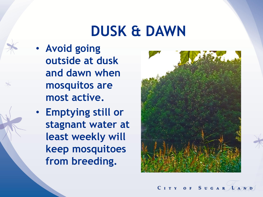#### **DUSK & DAWN**

- **Avoid going outside at dusk and dawn when mosquitos are most active.**
- **Emptying still or stagnant water at least weekly will keep mosquitoes from breeding.**

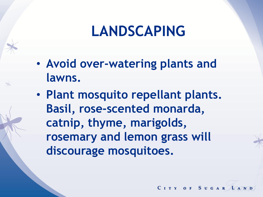### **LANDSCAPING**

- **Avoid over-watering plants and lawns.**
- **Plant mosquito repellant plants. Basil, rose-scented monarda, catnip, thyme, marigolds, rosemary and lemon grass will discourage mosquitoes.**

CITY OF SUGAR 10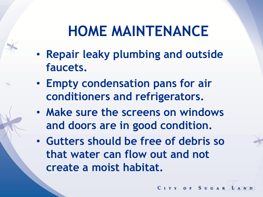### **HOME MAINTENANCE**

- **Repair leaky plumbing and outside faucets.**
- **Empty condensation pans for air conditioners and refrigerators.**
- **Make sure the screens on windows and doors are in good condition.**
- **Gutters should be free of debris so that water can flow out and not create a moist habitat.**

CITY OF SUGAR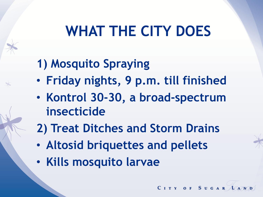# **WHAT THE CITY DOES**

#### **1) Mosquito Spraying**

- **Friday nights, 9 p.m. till finished**
- **Kontrol 30-30, a broad-spectrum insecticide**
- **2) Treat Ditches and Storm Drains**

- **Altosid briquettes and pellets**
- **Kills mosquito larvae**